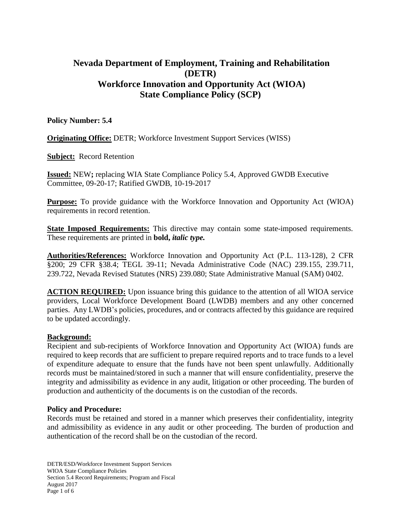# **Nevada Department of Employment, Training and Rehabilitation (DETR) Workforce Innovation and Opportunity Act (WIOA) State Compliance Policy (SCP)**

#### **Policy Number: 5.4**

**Originating Office:** DETR; Workforce Investment Support Services (WISS)

**Subject:** Record Retention

**Issued:** NEW**;** replacing WIA State Compliance Policy 5.4, Approved GWDB Executive Committee, 09-20-17; Ratified GWDB, 10-19-2017

**Purpose:** To provide guidance with the Workforce Innovation and Opportunity Act (WIOA) requirements in record retention.

**State Imposed Requirements:** This directive may contain some state-imposed requirements. These requirements are printed in **bold,** *italic type.*

**Authorities/References:** Workforce Innovation and Opportunity Act (P.L. 113-128), 2 CFR §200; 29 CFR §38.4; TEGL 39-11; Nevada Administrative Code (NAC) 239.155, 239.711, 239.722, Nevada Revised Statutes (NRS) 239.080; State Administrative Manual (SAM) 0402.

**ACTION REQUIRED:** Upon issuance bring this guidance to the attention of all WIOA service providers, Local Workforce Development Board (LWDB) members and any other concerned parties. Any LWDB's policies, procedures, and or contracts affected by this guidance are required to be updated accordingly.

#### **Background:**

Recipient and sub-recipients of Workforce Innovation and Opportunity Act (WIOA) funds are required to keep records that are sufficient to prepare required reports and to trace funds to a level of expenditure adequate to ensure that the funds have not been spent unlawfully. Additionally records must be maintained/stored in such a manner that will ensure confidentiality, preserve the integrity and admissibility as evidence in any audit, litigation or other proceeding. The burden of production and authenticity of the documents is on the custodian of the records.

#### **Policy and Procedure:**

Records must be retained and stored in a manner which preserves their confidentiality, integrity and admissibility as evidence in any audit or other proceeding. The burden of production and authentication of the record shall be on the custodian of the record.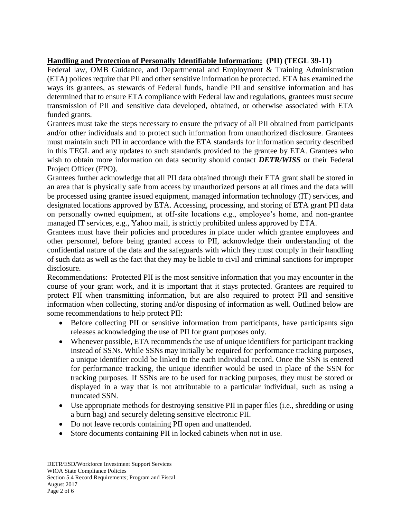## **Handling and Protection of Personally Identifiable Information: (PII) (TEGL 39-11)**

Federal law, OMB Guidance, and Departmental and Employment & Training Administration (ETA) polices require that PII and other sensitive information be protected. ETA has examined the ways its grantees, as stewards of Federal funds, handle PII and sensitive information and has determined that to ensure ETA compliance with Federal law and regulations, grantees must secure transmission of PII and sensitive data developed, obtained, or otherwise associated with ETA funded grants.

Grantees must take the steps necessary to ensure the privacy of all PII obtained from participants and/or other individuals and to protect such information from unauthorized disclosure. Grantees must maintain such PII in accordance with the ETA standards for information security described in this TEGL and any updates to such standards provided to the grantee by ETA. Grantees who wish to obtain more information on data security should contact *DETR/WISS* or their Federal Project Officer (FPO).

Grantees further acknowledge that all PII data obtained through their ETA grant shall be stored in an area that is physically safe from access by unauthorized persons at all times and the data will be processed using grantee issued equipment, managed information technology (IT) services, and designated locations approved by ETA. Accessing, processing, and storing of ETA grant PII data on personally owned equipment, at off-site locations e.g., employee's home, and non-grantee managed IT services, e.g., Yahoo mail, is strictly prohibited unless approved by ETA.

Grantees must have their policies and procedures in place under which grantee employees and other personnel, before being granted access to PII, acknowledge their understanding of the confidential nature of the data and the safeguards with which they must comply in their handling of such data as well as the fact that they may be liable to civil and criminal sanctions for improper disclosure.

Recommendations: Protected PII is the most sensitive information that you may encounter in the course of your grant work, and it is important that it stays protected. Grantees are required to protect PII when transmitting information, but are also required to protect PII and sensitive information when collecting, storing and/or disposing of information as well. Outlined below are some recommendations to help protect PII:

- Before collecting PII or sensitive information from participants, have participants sign releases acknowledging the use of PII for grant purposes only.
- Whenever possible, ETA recommends the use of unique identifiers for participant tracking instead of SSNs. While SSNs may initially be required for performance tracking purposes, a unique identifier could be linked to the each individual record. Once the SSN is entered for performance tracking, the unique identifier would be used in place of the SSN for tracking purposes. If SSNs are to be used for tracking purposes, they must be stored or displayed in a way that is not attributable to a particular individual, such as using a truncated SSN.
- Use appropriate methods for destroying sensitive PII in paper files (i.e., shredding or using a burn bag) and securely deleting sensitive electronic PII.
- Do not leave records containing PII open and unattended.
- Store documents containing PII in locked cabinets when not in use.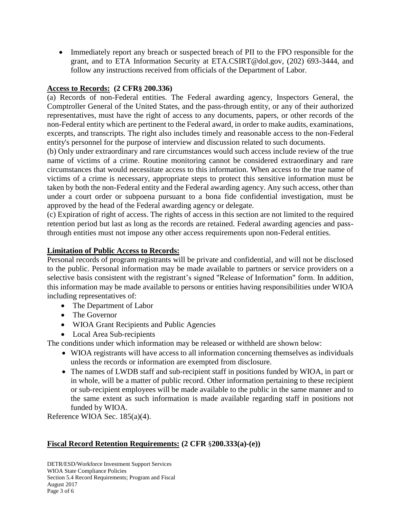• Immediately report any breach or suspected breach of PII to the FPO responsible for the grant, and to ETA Information Security at ETA.CSIRT@dol.gov, (202) 693-3444, and follow any instructions received from officials of the Department of Labor.

## **Access to Records: (2 CFR§ 200.336)**

(a) Records of non-Federal entities. The Federal awarding agency, Inspectors General, the Comptroller General of the United States, and the pass-through entity, or any of their authorized representatives, must have the right of access to any documents, papers, or other records of the non-Federal entity which are pertinent to the Federal award, in order to make audits, examinations, excerpts, and transcripts. The right also includes timely and reasonable access to the non-Federal entity's personnel for the purpose of interview and discussion related to such documents.

(b) Only under extraordinary and rare circumstances would such access include review of the true name of victims of a crime. Routine monitoring cannot be considered extraordinary and rare circumstances that would necessitate access to this information. When access to the true name of victims of a crime is necessary, appropriate steps to protect this sensitive information must be taken by both the non-Federal entity and the Federal awarding agency. Any such access, other than under a court order or subpoena pursuant to a bona fide confidential investigation, must be approved by the head of the Federal awarding agency or delegate.

(c) Expiration of right of access. The rights of access in this section are not limited to the required retention period but last as long as the records are retained. Federal awarding agencies and passthrough entities must not impose any other access requirements upon non-Federal entities.

#### **Limitation of Public Access to Records:**

Personal records of program registrants will be private and confidential, and will not be disclosed to the public. Personal information may be made available to partners or service providers on a selective basis consistent with the registrant's signed "Release of Information" form. In addition, this information may be made available to persons or entities having responsibilities under WIOA including representatives of:

- The Department of Labor
- The Governor
- WIOA Grant Recipients and Public Agencies
- Local Area Sub-recipients

The conditions under which information may be released or withheld are shown below:

- WIOA registrants will have access to all information concerning themselves as individuals unless the records or information are exempted from disclosure.
- The names of LWDB staff and sub-recipient staff in positions funded by WIOA, in part or in whole, will be a matter of public record. Other information pertaining to these recipient or sub-recipient employees will be made available to the public in the same manner and to the same extent as such information is made available regarding staff in positions not funded by WIOA.

Reference WIOA Sec. 185(a)(4).

## **Fiscal Record Retention Requirements: (2 CFR** §**200.333(a)-(e))**

DETR/ESD/Workforce Investment Support Services WIOA State Compliance Policies Section 5.4 Record Requirements; Program and Fiscal August 2017 Page 3 of 6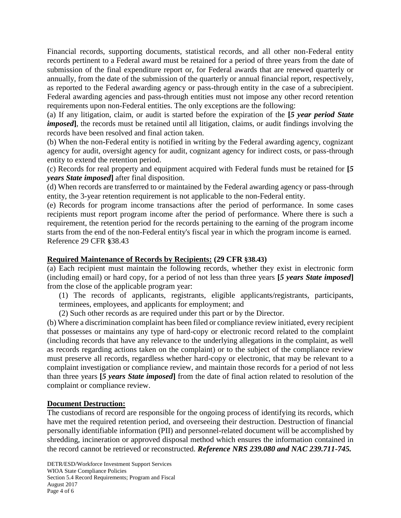Financial records, supporting documents, statistical records, and all other non-Federal entity records pertinent to a Federal award must be retained for a period of three years from the date of submission of the final expenditure report or, for Federal awards that are renewed quarterly or annually, from the date of the submission of the quarterly or annual financial report, respectively, as reported to the Federal awarding agency or pass-through entity in the case of a subrecipient. Federal awarding agencies and pass-through entities must not impose any other record retention requirements upon non-Federal entities. The only exceptions are the following:

(a) If any litigation, claim, or audit is started before the expiration of the **[***5 year period State imposed*], the records must be retained until all litigation, claims, or audit findings involving the records have been resolved and final action taken.

(b) When the non-Federal entity is notified in writing by the Federal awarding agency, cognizant agency for audit, oversight agency for audit, cognizant agency for indirect costs, or pass-through entity to extend the retention period.

(c) Records for real property and equipment acquired with Federal funds must be retained for **[***5 years State imposed***]** after final disposition.

(d) When records are transferred to or maintained by the Federal awarding agency or pass-through entity, the 3-year retention requirement is not applicable to the non-Federal entity.

(e) Records for program income transactions after the period of performance. In some cases recipients must report program income after the period of performance. Where there is such a requirement, the retention period for the records pertaining to the earning of the program income starts from the end of the non-Federal entity's fiscal year in which the program income is earned. Reference 29 CFR **§**38.43

### **Required Maintenance of Records by Recipients: (29 CFR §38.43)**

(a) Each recipient must maintain the following records, whether they exist in electronic form (including email) or hard copy, for a period of not less than three years **[***5 years State imposed***]** from the close of the applicable program year:

(1) The records of applicants, registrants, eligible applicants/registrants, participants, terminees, employees, and applicants for employment; and

(2) Such other records as are required under this part or by the Director.

(b) Where a discrimination complaint has been filed or compliance review initiated, every recipient that possesses or maintains any type of hard-copy or electronic record related to the complaint (including records that have any relevance to the underlying allegations in the complaint, as well as records regarding actions taken on the complaint) or to the subject of the compliance review must preserve all records, regardless whether hard-copy or electronic, that may be relevant to a complaint investigation or compliance review, and maintain those records for a period of not less than three years **[***5 years State imposed***]** from the date of final action related to resolution of the complaint or compliance review.

#### **Document Destruction:**

The custodians of record are responsible for the ongoing process of identifying its records, which have met the required retention period, and overseeing their destruction. Destruction of financial personally identifiable information (PII) and personnel-related document will be accomplished by shredding, incineration or approved disposal method which ensures the information contained in the record cannot be retrieved or reconstructed. *Reference NRS 239.080 and NAC 239.711-745.*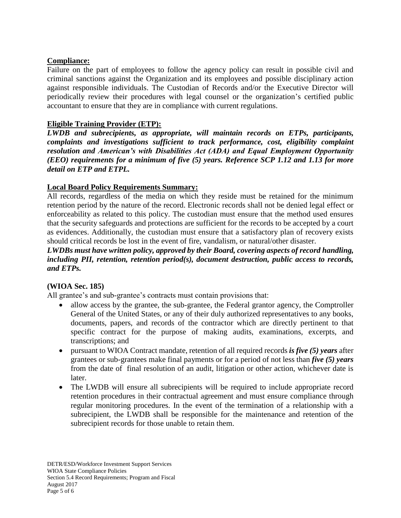### **Compliance:**

Failure on the part of employees to follow the agency policy can result in possible civil and criminal sanctions against the Organization and its employees and possible disciplinary action against responsible individuals. The Custodian of Records and/or the Executive Director will periodically review their procedures with legal counsel or the organization's certified public accountant to ensure that they are in compliance with current regulations.

## **Eligible Training Provider (ETP):**

*LWDB and subrecipients, as appropriate, will maintain records on ETPs, participants, complaints and investigations sufficient to track performance, cost, eligibility complaint resolution and American's with Disabilities Act (ADA) and Equal Employment Opportunity (EEO) requirements for a minimum of five (5) years. Reference SCP 1.12 and 1.13 for more detail on ETP and ETPL.*

## **Local Board Policy Requirements Summary:**

All records, regardless of the media on which they reside must be retained for the minimum retention period by the nature of the record. Electronic records shall not be denied legal effect or enforceability as related to this policy. The custodian must ensure that the method used ensures that the security safeguards and protections are sufficient for the records to be accepted by a court as evidences. Additionally, the custodian must ensure that a satisfactory plan of recovery exists should critical records be lost in the event of fire, vandalism, or natural/other disaster.

#### *LWDBs must have written policy, approved by their Board, covering aspects of record handling, including PII, retention, retention period(s), document destruction, public access to records, and ETPs.*

### **(WIOA Sec. 185)**

All grantee's and sub-grantee's contracts must contain provisions that:

- allow access by the grantee, the sub-grantee, the Federal grantor agency, the Comptroller General of the United States, or any of their duly authorized representatives to any books, documents, papers, and records of the contractor which are directly pertinent to that specific contract for the purpose of making audits, examinations, excerpts, and transcriptions; and
- pursuant to WIOA Contract mandate, retention of all required records *is five (5) years* after grantees or sub-grantees make final payments or for a period of not less than *five (5) years* from the date of final resolution of an audit, litigation or other action, whichever date is later.
- The LWDB will ensure all subrecipients will be required to include appropriate record retention procedures in their contractual agreement and must ensure compliance through regular monitoring procedures. In the event of the termination of a relationship with a subrecipient, the LWDB shall be responsible for the maintenance and retention of the subrecipient records for those unable to retain them.